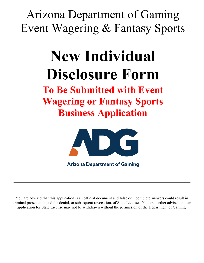Arizona Department of Gaming Event Wagering & Fantasy Sports

# **New Individual Disclosure Form**

**To Be Submitted with Event Wagering or Fantasy Sports Business Application**



**Arizona Department of Gaming** 

You are advised that this application is an official document and false or incomplete answers could result in criminal prosecution and the denial, or subsequent revocation, of State License. You are further advised that an application for State License may not be withdrawn without the permission of the Department of Gaming.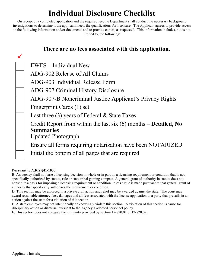# **Individual Disclosure Checklist**

On receipt of a completed application and the required fee, the Department shall conduct the necessary background investigations to determine if the applicant meets the qualifications for licensure. The Applicant agrees to provide access to the following information and/or documents and to provide copies, as requested. This information includes, but is not limited to, the following:

| There are no fees associated with this application.                        |
|----------------------------------------------------------------------------|
|                                                                            |
| EWFS – Individual New                                                      |
| ADG-902 Release of All Claims                                              |
| ADG-903 Individual Release Form                                            |
| ADG-907 Criminal History Disclosure                                        |
| ADG-907-B Noncriminal Justice Applicant's Privacy Rights                   |
| Fingerprint Cards (1) set                                                  |
| Last three $(3)$ years of Federal & State Taxes                            |
| Credit Report from within the last six $(6)$ months – <b>Detailed</b> , No |
| <b>Summaries</b>                                                           |
| <b>Updated Photograph</b>                                                  |
| Ensure all forms requiring notarization have been NOTARIZED                |
| Initial the bottom of all pages that are required                          |

#### **Pursuant to A.R.S §41-1030:**

B**.** An agency shall not base a licensing decision in whole or in part on a licensing requirement or condition that is not specifically authorized by statute, rule or state tribal gaming compact. A general grant of authority in statute does not constitute a basis for imposing a licensing requirement or condition unless a rule is made pursuant to that general grant of authority that specifically authorizes the requirement or condition.

D. This section may be enforced in a private civil action and relief may be awarded against the state. The court may award reasonable attorney fees, damages and all fees associated with the license application to a party that prevails in an action against the state for a violation of this section.

E. A state employee may not intentionally or knowingly violate this section. A violation of this section is cause for disciplinary action or dismissal pursuant to the Agency's adopted personnel policy.

F. This section does not abrogate the immunity provided by section 12-820.01 or 12-820.02.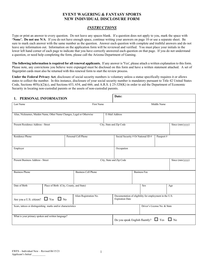#### **EVENT WAGERING & FANTASY SPORTS NEW INDIVIDUAL DISCLOSURE FORM**

#### *INSTRUCTIONS*

Type or print an answer to every question. Do not leave any spaces blank. If a question does not apply to you, mark the space with **'None'. Do not use N/A**. If you do not have enough space, continue writing your answers on page 10 or use a separate sheet. Be sure to mark each answer with the same number as the question. Answer each question with complete and truthful answers and do not leave any information out. Information on the application form will be reviewed and verified. You must place your initials in the lower left hand corner of each page to indicate that you have correctly answered each question on that page. If you do not understand a question, or need help completing the form, please call the Arizona Department of Gaming.

**The following information is required for all renewal applicants.** If any answer is 'Yes', please attach a written explanation to this form. Please note, any convictions you believe were expunged must be disclosed on this form and have a written statement attached. A set of fingerprint cards must also be returned with this renewal form to start the review process.

**Under the Federal Privacy Act**, disclosure of social security numbers is voluntary unless a statue specifically requires it or allows states to collect the number. In this instance, disclosure of your social security number is mandatory pursuant to Title 42 United States Code, Sections  $405(c)(2)(c)$ , and Sections 653, 654, and 666; and A.R.S. § 25-320(K) in order to aid the Department of Economic Security in locating non-custodial parents or the assets of non-custodial parents.

| PERSONAL INFORMATION<br>1.                                                | Date:                                    |                            |                                                                                   |                                                     |                              |                 |
|---------------------------------------------------------------------------|------------------------------------------|----------------------------|-----------------------------------------------------------------------------------|-----------------------------------------------------|------------------------------|-----------------|
| Last Name<br>First Name                                                   |                                          |                            |                                                                                   |                                                     | Middle Name                  |                 |
| Alias, Nicknames, Maiden Name, Other Name Changes, Legal or Otherwise     |                                          |                            | E-Mail Address                                                                    |                                                     |                              |                 |
| Present Residence Address - Street                                        |                                          |                            | City, State and Zip Code                                                          |                                                     |                              | Since (mm/yyyy) |
| Residence Phone                                                           |                                          | Personal Cell Phone        |                                                                                   | Social Security # Or National ID #                  | Passport#                    |                 |
| Employer                                                                  |                                          |                            | Occupation                                                                        |                                                     |                              |                 |
| Present Business Address - Street                                         |                                          |                            | City, State and Zip Code                                                          |                                                     |                              | Since (mm/yyyy) |
| <b>Business Phone</b>                                                     |                                          | <b>Business Cell Phone</b> |                                                                                   | <b>Business Fax</b>                                 |                              |                 |
| Date of Birth                                                             | Place of Birth (City, County, and State) |                            |                                                                                   | Sex                                                 |                              | Age             |
| Alien Registration No.<br>$\Box$ Yes $\Box$ No<br>Are you a U.S. citizen? |                                          |                            | Documentation of eligibility for employment in the U.S.<br><b>Expiration Date</b> |                                                     |                              |                 |
| Scars, tattoos or distinguishing marks and/or characteristics             |                                          |                            |                                                                                   |                                                     | Driver's License No. & State |                 |
| What is your primary spoken and written language?                         |                                          |                            |                                                                                   | Do you speak English fluently? $\Box$ Yes $\Box$ No |                              |                 |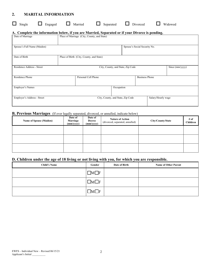# **2. MARITAL INFORMATION**

| $\Box$ Single $\Box$ Engaged $\Box$ Married $\Box$ Separated $\Box$ Divorced $\Box$ Widowed |  |
|---------------------------------------------------------------------------------------------|--|
|---------------------------------------------------------------------------------------------|--|

#### **A. Complete the information below, if you are Married, Separated or if your Divorce is pending.**

| Date of Marriage            | Place of Marriage (City, County, and State) |                                                      |  |  |
|-----------------------------|---------------------------------------------|------------------------------------------------------|--|--|
| Spouse's Full Name (Maiden) |                                             | Spouse's Social Security No.                         |  |  |
| Date of Birth               | Place of Birth (City, County, and State)    |                                                      |  |  |
| Residence Address - Street  |                                             | Since (mm/yyyy)<br>City, County, and State, Zip Code |  |  |
| Residence Phone             | Personal Cell Phone                         | <b>Business Phone</b>                                |  |  |
| Employer's Names            |                                             | Occupation                                           |  |  |
| Employer's Address - Street | City, County, and State, Zip Code           | Salary/Hourly wage                                   |  |  |

#### **B. Previous Marriages** (If ever legally separated, divorced, or annulled, indicate below)

| <b>Name of Spouse (Maiden)</b> | Date of<br>Marriage<br>$\frac{\text{(mm/yyy)}}{\text{m}}$ | Date of<br><b>Decree</b><br>(mm/yyyy) | <b>Nature of Action</b><br>(divorced, separated, annulled) | City/County/State | # of<br>Children |
|--------------------------------|-----------------------------------------------------------|---------------------------------------|------------------------------------------------------------|-------------------|------------------|
|                                |                                                           |                                       |                                                            |                   |                  |
|                                |                                                           |                                       |                                                            |                   |                  |
|                                |                                                           |                                       |                                                            |                   |                  |

# **D. Children under the age of 18 living or not living with you, for which you are responsible.**

| <b>Child's Name</b> | Gender       | Date of Birth | <b>Name of Other Parent</b> |
|---------------------|--------------|---------------|-----------------------------|
|                     | - IF<br>IM L |               |                             |
|                     | IF           |               |                             |
|                     | IE           |               |                             |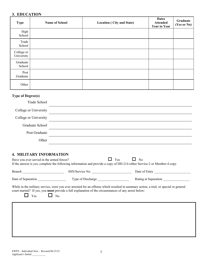# **3. EDUCATION**

| <b>Type</b>              | <b>Name of School</b> | <b>Location (City and State)</b> | <b>Dates</b><br><b>Attended</b><br><b>Year to Year</b> | Graduate<br>(Yes or No) |
|--------------------------|-----------------------|----------------------------------|--------------------------------------------------------|-------------------------|
| High<br>School           |                       |                                  |                                                        |                         |
| Trade<br>School          |                       |                                  |                                                        |                         |
| College or<br>University |                       |                                  |                                                        |                         |
| Graduate<br>School       |                       |                                  |                                                        |                         |
| Post<br>Graduate         |                       |                                  |                                                        |                         |
| Other                    |                       |                                  |                                                        |                         |

# **Type of Degree(s)**

| Trade School          |  |
|-----------------------|--|
| College or University |  |
| College or University |  |
| Graduate School       |  |
| Post Graduate         |  |
| Other                 |  |

# **4. MILITARY INFORMATION**

| Have you ever served in the armed forces? |                                                                                                                          | $\Box$ No<br>Yes<br>If the answer is yes, complete the following information and provide a copy of DD-214 either Service-2 or Member-4 copy. |
|-------------------------------------------|--------------------------------------------------------------------------------------------------------------------------|----------------------------------------------------------------------------------------------------------------------------------------------|
| Branch                                    | SSN/Service No.                                                                                                          | Date of Entry                                                                                                                                |
|                                           |                                                                                                                          | Rating at Separation                                                                                                                         |
| Yes                                       | court martial? If yes, you <b>must</b> provide a full explanation of the circumstances of any arrest below:<br>$\Box$ No | While in the military service, were you ever arrested for an offense which resulted in summary action, a trial, or special or general        |
|                                           |                                                                                                                          |                                                                                                                                              |
|                                           |                                                                                                                          |                                                                                                                                              |
|                                           |                                                                                                                          |                                                                                                                                              |
|                                           |                                                                                                                          |                                                                                                                                              |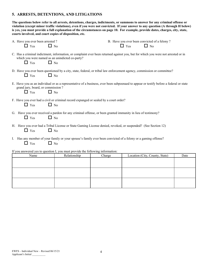#### **5. ARRESTS, DETENTIONS, AND LITIGATIONS**

**The questions below refer to all arrests, detentions, charges, indictments, or summons to answer for any criminal offense or violation (except minor traffic violations), even if you were not convicted. If your answer to any question (A through H below) is yes, you must provide a full explanation of the circumstances on page 10. For example, provide dates, charges, city, state, courts involved, and court copies of disposition, etc.**

| A. Have you ever been arrested?                                                                                                                                                                                 |              |        |            | B. Have you ever been convicted of a felony? |      |  |
|-----------------------------------------------------------------------------------------------------------------------------------------------------------------------------------------------------------------|--------------|--------|------------|----------------------------------------------|------|--|
| $\Box$ Yes<br>$\Box$ No                                                                                                                                                                                         |              |        | $\Box$ Yes | $\Box$ No                                    |      |  |
| C. Has a criminal indictment, information, or complaint ever been returned against you, but for which you were not arrested or in<br>which you were named as an unindicted co-party?<br>$\Box$ No<br>$\Box$ Yes |              |        |            |                                              |      |  |
| D. Have you ever been questioned by a city, state, federal, or tribal law enforcement agency, commission or committee?<br>$\Box$ Yes<br>$\Box$ No                                                               |              |        |            |                                              |      |  |
| E. Have you as an individual or as a representative of a business, ever been subpoenaed to appear or testify before a federal or state<br>grand jury, board, or commission?<br>$\Box$ No<br>$\Box$ Yes          |              |        |            |                                              |      |  |
| F. Have you ever had a civil or criminal record expunged or sealed by a court order?<br>$\Box$ No<br>$\Box$ Yes                                                                                                 |              |        |            |                                              |      |  |
| G. Have you ever received a pardon for any criminal offense, or been granted immunity in lieu of testimony?<br>$\Box$ No<br>$\Box$ Yes                                                                          |              |        |            |                                              |      |  |
| H. Have you ever had a Tribal License or State Gaming License denied, revoked, or suspended? (See Section 12)<br>$\Box$ No<br>$\Box$ Yes                                                                        |              |        |            |                                              |      |  |
| I. Has any member of your family or your spouse's family ever been convicted of a felony or a gaming offense?<br>$\Box$ Yes<br>$\Box$ No                                                                        |              |        |            |                                              |      |  |
| If you answered yes to question I, you must provide the following information:                                                                                                                                  |              |        |            |                                              |      |  |
| Name                                                                                                                                                                                                            | Relationship | Charge |            | Location (City, County, State)               | Date |  |
|                                                                                                                                                                                                                 |              |        |            |                                              |      |  |
|                                                                                                                                                                                                                 |              |        |            |                                              |      |  |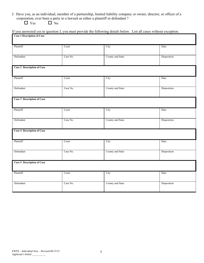J. Have you, as an individual, member of a partnership, limited liability company or owner, director, or officer of a corporation, ever been a party to a lawsuit as either a plaintiff or defendant ?

 $\qquad \qquad \Box \,$  Yes  $\qquad \qquad \Box \,$  No

| Plaintiff<br>Court<br>City<br>Date<br>County and State<br>Defendant<br>Case No.<br>Disposition<br><b>Case 2 Description of Case</b><br>Plaintiff<br>City<br>Court<br>Date<br>County and State<br>Disposition<br>Defendant<br>Case No.<br>Case 3 Description of Case<br>Plaintiff<br>Court<br>City<br>Date<br>County and State<br>Disposition<br>Defendant<br>Case No.<br>Case 4 Description of Case<br>Plaintiff<br>Court<br>City<br>Date<br>County and State<br>Disposition<br>Defendant<br>Case No.<br>Case 5 Description of Case<br>Plaintiff<br>Court<br>City<br>Date<br>County and State<br>Disposition<br>Defendant<br>Case No. | <b>Case 1 Description of Case</b> | If you answered yes to question J, you must provide the following details below. List all cases without exception. |  |
|---------------------------------------------------------------------------------------------------------------------------------------------------------------------------------------------------------------------------------------------------------------------------------------------------------------------------------------------------------------------------------------------------------------------------------------------------------------------------------------------------------------------------------------------------------------------------------------------------------------------------------------|-----------------------------------|--------------------------------------------------------------------------------------------------------------------|--|
|                                                                                                                                                                                                                                                                                                                                                                                                                                                                                                                                                                                                                                       |                                   |                                                                                                                    |  |
|                                                                                                                                                                                                                                                                                                                                                                                                                                                                                                                                                                                                                                       |                                   |                                                                                                                    |  |
|                                                                                                                                                                                                                                                                                                                                                                                                                                                                                                                                                                                                                                       |                                   |                                                                                                                    |  |
|                                                                                                                                                                                                                                                                                                                                                                                                                                                                                                                                                                                                                                       |                                   |                                                                                                                    |  |
|                                                                                                                                                                                                                                                                                                                                                                                                                                                                                                                                                                                                                                       |                                   |                                                                                                                    |  |
|                                                                                                                                                                                                                                                                                                                                                                                                                                                                                                                                                                                                                                       |                                   |                                                                                                                    |  |
|                                                                                                                                                                                                                                                                                                                                                                                                                                                                                                                                                                                                                                       |                                   |                                                                                                                    |  |
|                                                                                                                                                                                                                                                                                                                                                                                                                                                                                                                                                                                                                                       |                                   |                                                                                                                    |  |
|                                                                                                                                                                                                                                                                                                                                                                                                                                                                                                                                                                                                                                       |                                   |                                                                                                                    |  |
|                                                                                                                                                                                                                                                                                                                                                                                                                                                                                                                                                                                                                                       |                                   |                                                                                                                    |  |
|                                                                                                                                                                                                                                                                                                                                                                                                                                                                                                                                                                                                                                       |                                   |                                                                                                                    |  |
|                                                                                                                                                                                                                                                                                                                                                                                                                                                                                                                                                                                                                                       |                                   |                                                                                                                    |  |
|                                                                                                                                                                                                                                                                                                                                                                                                                                                                                                                                                                                                                                       |                                   |                                                                                                                    |  |
|                                                                                                                                                                                                                                                                                                                                                                                                                                                                                                                                                                                                                                       |                                   |                                                                                                                    |  |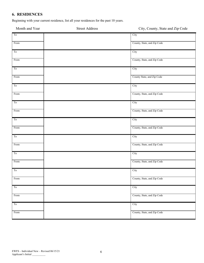# **6. RESIDENCES**

Beginning with your current residence, list all your residences for the past 10 years.

| Month and Year         | <b>Street Address</b> | City, County, State and Zip Code |
|------------------------|-----------------------|----------------------------------|
| To                     |                       | City                             |
| From                   |                       | County, State, and Zip Code      |
| To                     |                       | City                             |
| From                   |                       | County, State, and Zip Code      |
| $\overline{\text{To}}$ |                       | City                             |
| From                   |                       | County State, and Zip Code       |
| ${\rm To}$             |                       | City                             |
| From                   |                       | County, State, and Zip Code      |
| $\overline{\text{To}}$ |                       | City                             |
| From                   |                       | County, State, and Zip Code      |
| $\overline{\text{To}}$ |                       | City                             |
| From                   |                       | County, State, and Zip Code      |
| $\overline{\text{To}}$ |                       | City                             |
| From                   |                       | County, State, and Zip Code      |
| $\overline{\text{To}}$ |                       | City                             |
| From                   |                       | County, State, and Zip Code      |
| ${\rm To}$             |                       | City                             |
| From                   |                       | County, State, and Zip Code      |
| To                     |                       | City                             |
| From                   |                       | County, State, and Zip Code      |
| To                     |                       | City                             |
| From                   |                       | County, State, and Zip Code      |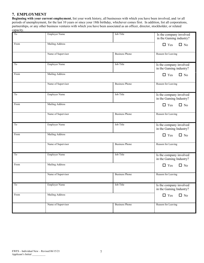#### **7. EMPLOYMENT**

**Beginning with your current employment**, list your work history, all businesses with which you have been involved, and /or all periods of unemployment, for the last 10 years or since your 18th birthday, whichever comes first. In addition, list all corporations, partnerships, or any other business ventures with which you have been associated as an officer, director, stockholder, or related capacity.

| To   | <b>Employer Name</b>   | Job Title             | Is the company involved<br>in the Gaming industry? |
|------|------------------------|-----------------------|----------------------------------------------------|
| From | <b>Mailing Address</b> |                       | $\Box$ Yes<br>$\Box$ No                            |
|      | Name of Supervisor     | <b>Business Phone</b> | Reason for Leaving                                 |
| To   | <b>Employer Name</b>   | Job Title             | Is the company involved<br>in the Gaming industry? |
| From | <b>Mailing Address</b> |                       | $\Box$ Yes<br>$\Box$ No                            |
|      | Name of Supervisor     | <b>Business Phone</b> | Reason for Leaving                                 |
| To   | <b>Employer Name</b>   | Job Title             | Is the company involved<br>in the Gaming Industry? |
| From | <b>Mailing Address</b> |                       | $\Box$ Yes<br>$\Box$ No                            |
|      | Name of Supervisor     | <b>Business Phone</b> | Reason for Leaving                                 |
| To   | <b>Employer Name</b>   | Job Title             | Is the company involved<br>in the Gaming Industry? |
| From | Mailing Address        |                       | $\Box$ Yes<br>$\Box$ No                            |
|      | Name of Supervisor     | <b>Business Phone</b> | Reason for Leaving                                 |
| To   | <b>Employer Name</b>   | Job Title             | Is the company involved<br>in the Gaming Industry? |
| From | <b>Mailing Address</b> |                       | $\Box$ Yes<br>$\Box$ No                            |
|      | Name of Supervisor     | <b>Business Phone</b> | Reason for Leaving                                 |
| To   | <b>Employer Name</b>   | Job Title             | Is the company involved<br>in the Gaming Industry? |
| From | <b>Mailing Address</b> |                       | $\Box$ Yes<br>$\Box$ No                            |
|      | Name of Supervisor     | <b>Business Phone</b> | Reason for Leaving                                 |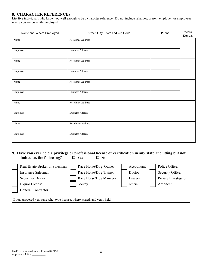#### **8. CHARACTER REFERENCES**

List five individuals who know you well enough to be a character reference. Do not include relatives, present employer, or employees where you are currently employed.

| Name and Where Employed | Street, City, State and Zip Code | Phone | Years<br>Known |
|-------------------------|----------------------------------|-------|----------------|
| Name                    | Residence Address                |       |                |
| Employer                | <b>Business Address</b>          |       |                |
| Name                    | Residence Address                |       |                |
| Employer                | <b>Business Address</b>          |       |                |
| Name                    | Residence Address                |       |                |
| Employer                | <b>Business Address</b>          |       |                |
| Name                    | Residence Address                |       |                |
| Employer                | <b>Business Address</b>          |       |                |
| Name                    | Residence Address                |       |                |
| Employer                | <b>Business Address</b>          |       |                |

#### **9. Have you ever held a privilege or professional license or certification in any state, including but not limited to, the following?**  $\Box$  Yes  $\Box$  No

| Real Estate Broker or Salesman | Race Horse/Dog Owner   | Accountant | Police Officer       |
|--------------------------------|------------------------|------------|----------------------|
| Insurance Salesman             | Race Horse/Dog Trainer | Doctor     | Security Officer     |
| <b>Securities Dealer</b>       | Race Horse/Dog Manager | Lawyer     | Private Investigator |
| Liquor License                 | Jockey                 | Nurse      | Architect            |
| <b>General Contractor</b>      |                        |            |                      |

If you answered yes, state what type license, where issued, and years held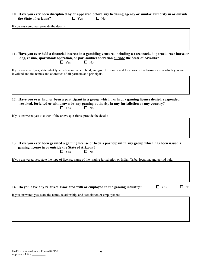#### **10. Have you ever been disciplined by or appeared before any licensing agency or similar authority in or outside the State of Arizona?**  $\Box$  Yes  $\Box$  No

If you answered yes, provide the details

**11. Have you ever held a financial interest in a gambling venture, including a race track, dog track, race horse or dog, casino, sportsbook operation, or pari-mutuel operation outside the State of Arizona?**  $\Box$  Yes  $\Box$  No

If you answered yes, state what type, when and where held, and give the names and locations of the businesses in which you were involved and the names and addresses of all partners and principals.

#### **12. Have you ever had, or been a participant in a group which has had, a gaming license denied, suspended, revoked, forfeited or withdrawn by any gaming authority in any jurisdiction or any country?**  $\Box$  Yes  $\Box$  No

If you answered yes to either of the above questions, provide the details

**13. Have you ever been granted a gaming license or been a participant in any group which has been issued a gaming license in or outside the State of Arizona?**  $\Box$  Yes  $\Box$  No

If you answered yes, state the type of license, name of the issuing jurisdiction or Indian Tribe, location, and period held

# **14.** Do you have any relatives associated with or employed in the gaming industry?  $\Box$  Yes  $\Box$  No

If you answered yes, state the name, relationship, and association or employment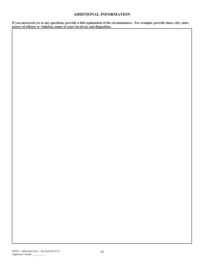#### **ADDITIONAL INFORMATION**

If you answered yes to any questions, provide a full explanation of the circumstances. For example, provide dates, city, state, **nature of offense or violation, name of court involved, and disposition.**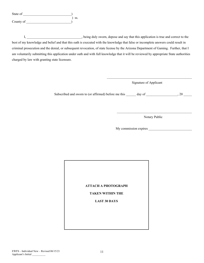| State of  |     |  |
|-----------|-----|--|
|           | SS. |  |
| County of |     |  |

I, the ing duly sworn, depose and say that this application is true and correct to the best of my knowledge and belief and that this oath is executed with the knowledge that false or incomplete answers could result in criminal prosecution and the denial, or subsequent revocation, of state license by the Arizona Department of Gaming. Further, that I am voluntarily submitting this application under oath and with full knowledge that it will be reviewed by appropriate State authorities charged by law with granting state licensure.

Signature of Applicant

 $\mathcal{L}_\text{max} = \mathcal{L}_\text{max} = \mathcal{L}_\text{max} = \mathcal{L}_\text{max} = \mathcal{L}_\text{max} = \mathcal{L}_\text{max} = \mathcal{L}_\text{max} = \mathcal{L}_\text{max} = \mathcal{L}_\text{max} = \mathcal{L}_\text{max} = \mathcal{L}_\text{max} = \mathcal{L}_\text{max} = \mathcal{L}_\text{max} = \mathcal{L}_\text{max} = \mathcal{L}_\text{max} = \mathcal{L}_\text{max} = \mathcal{L}_\text{max} = \mathcal{L}_\text{max} = \mathcal{$ 

Subscribed and sworn to (or affirmed) before me this \_\_\_\_\_\_ day of \_\_\_\_\_\_\_\_\_\_\_\_\_\_, 20 \_\_\_\_\_\_\_\_\_\_\_\_\_\_

 $\mathcal{L}_\text{max}$  and  $\mathcal{L}_\text{max}$  and  $\mathcal{L}_\text{max}$  and  $\mathcal{L}_\text{max}$  and  $\mathcal{L}_\text{max}$ Notary Public

My commission expires

#### **ATTACH A PHOTOGRAPH**

#### **TAKEN WITHIN THE**

#### **LAST 30 DAYS**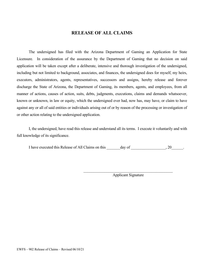# **RELEASE OF ALL CLAIMS**

The undersigned has filed with the Arizona Department of Gaming an Application for State Licensure. In consideration of the assurance by the Department of Gaming that no decision on said application will be taken except after a deliberate, intensive and thorough investigation of the undersigned, including but not limited to background, associates, and finances, the undersigned does for myself, my heirs, executors, administrators, agents, representatives, successors and assigns, hereby release and forever discharge the State of Arizona, the Department of Gaming, its members, agents, and employees, from all manner of actions, causes of action, suits, debts, judgments, executions, claims and demands whatsoever, known or unknown, in law or equity, which the undersigned ever had, now has, may have, or claim to have against any or all of said entities or individuals arising out of or by reason of the processing or investigation of or other action relating to the undersigned application.

I, the undersigned, have read this release and understand all its terms. I execute it voluntarily and with full knowledge of its significance.

I have executed this Release of All Claims on this day of  $\qquad \qquad , 20$ .

Applicant Signature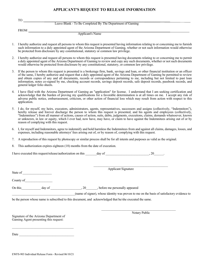#### **APPLICANT'S REQUEST TO RELEASE INFORMATION**

|             | Leave Blank - To Be Completed By The Department of Gaming |  |
|-------------|-----------------------------------------------------------|--|
| <b>FROM</b> |                                                           |  |
|             | Applicant's Name                                          |  |

- 1. I hereby authorize and request all persons to whom this request is presented having information relating to or concerning me to furnish such information to a duly appointed agent of the Arizona Department of Gaming, whether or not such information would otherwise be protected from disclosure by any constitutional, statutory or common law privilege.
- 2. I hereby authorize and request all persons to whom this request is presented having documents relating to or concerning me to permit a duly appointed agent of the Arizona Department of Gaming to review and copy any such documents, whether or not such documents would otherwise be protected from disclosure by any constitutional, statutory, or common law privilege.
- 3. If the person to whom this request is presented is a brokerage firm, bank, savings and loan, or other financial institution or an officer of the same, I hereby authorize and request that a duly appointed agent of the Arizona Department of Gaming be permitted to review and obtain copies of any and all documents, records or correspondence pertaining to me, including but not limited to past loan information, notes co-signed by me, checking account records, savings deposit records, safe deposit records, passbook records, and general ledger folio sheets.
- 4. I have filed with the Arizona Department of Gaming an "application" for license. I understand that I am seeking certification and acknowledge that the burden of proving my qualifications for a favorable determination is at all times on me. I accept any risk of adverse public notice, embarrassment, criticism, or other action of financial loss which may result from action with respect to this application.
- 5. I do, for myself, my heirs, executors, administrators, agents, representatives, successors and assigns (collectively, "Indemnitors"), hereby release and forever discharge the person to whom this request is presented, and his agents and employees (collectively, "Indemnitees") from all manner of actions, causes of action, suits, debts, judgments, executions, claims, demands whatsoever, known or unknown, in law or equity, which I ever had, now have, may have, or claim to have against the Indemnitees arising out of or by reason of complying with this request.
- 6. I, for myself and Indemnitors, agree to indemnify and hold harmless the Indemnitees from and against all claims, damages, losses, and expenses, including reasonable attorneys' fees arising out of, or by reason of, complying with this request.
- 7. A reproduction of this request by photocopy or similar process shall be for all intents and purposes as valid as the original.
- 8. This authorization expires eighteen (18) months from the date of execution.

I have executed this request/release/authorization on this \_\_\_\_\_\_day of \_\_\_\_\_\_\_\_\_\_\_\_\_\_\_\_\_\_\_\_\_\_, 20\_\_\_\_\_\_\_.

State of \_\_\_\_\_\_\_\_\_\_\_\_\_\_\_\_\_\_

County of

On this day of  $\begin{array}{ccc} 20 & 20 & 20 \end{array}$ , before me personally appeared

\_\_\_\_\_\_\_\_\_\_\_\_\_\_\_\_\_\_\_\_\_\_\_\_\_\_\_\_\_\_\_\_\_\_\_\_\_\_\_(name of signer), whose identity was proven to me on the basis of satisfactory evidence to

 $\overline{\phantom{a}}$  , and the contract of the contract of the contract of the contract of the contract of the contract of the contract of the contract of the contract of the contract of the contract of the contract of the contrac

be the person whose name is subscribed to this document, and acknowledged that he/she executed the same.

Signature of the Arizona Department of Gaming Agent presenting this request:

\_\_\_\_\_\_\_\_\_\_\_\_\_\_\_\_\_\_\_\_\_\_\_\_\_\_\_\_\_\_\_\_\_\_\_\_\_

Notary Public

 $\mathcal{L}_\text{max}$  and  $\mathcal{L}_\text{max}$  and  $\mathcal{L}_\text{max}$  and  $\mathcal{L}_\text{max}$  and  $\mathcal{L}_\text{max}$ 

Applicant Signature

Date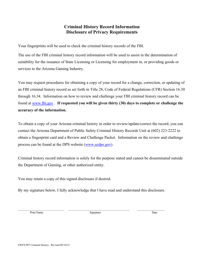# **Criminal History Record Information Disclosure of Privacy Requirements**

Your fingerprints will be used to check the criminal history records of the FBI.

The use of the FBI criminal history record information will be used to assist in the determination of suitability for the issuance of State Licensing or Licensing for employment in, or providing goods or services to the Arizona Gaming Industry.

You may request procedures for obtaining a copy of your record for a change, correction, or updating of an FBI criminal history record as set forth in Title 28, Code of Federal Regulations (CFR) Section 16.30 through 16.34. Information on how to review and challenge your FBI criminal history record can be found at [www.fbi.gov](http://www.fbi.gov/) . **If requested you will be given thirty (30) days to complete or challenge the accuracy of the information.** 

To obtain a copy of your Arizona criminal history in order to review/update/correct the record, you can contact the Arizona Department of Public Safety Criminal History Records Unit at (602) 223-2222 to obtain a fingerprint card and a Review and Challenge Packet. Information on the review and challenge process can be found at the DPS website [\(www.azdps.gov\)](http://www.azdps.gov/).

Criminal history record information is solely for the purpose stated and cannot be disseminated outside the Department of Gaming, or other authorized entity.

You may retain a copy of this signed disclosure if desired.

By my signature below, I fully acknowledge that I have read and understand this disclosure.

Print Name Date Communication and Signature Signature Communication and Date Date

 $\_$  ,  $\_$  ,  $\_$  ,  $\_$  ,  $\_$  ,  $\_$  ,  $\_$  ,  $\_$  ,  $\_$  ,  $\_$  ,  $\_$  ,  $\_$  ,  $\_$  ,  $\_$  ,  $\_$  ,  $\_$  ,  $\_$  ,  $\_$  ,  $\_$  ,  $\_$  ,  $\_$  ,  $\_$  ,  $\_$  ,  $\_$  ,  $\_$  ,  $\_$  ,  $\_$  ,  $\_$  ,  $\_$  ,  $\_$  ,  $\_$  ,  $\_$  ,  $\_$  ,  $\_$  ,  $\_$  ,  $\_$  ,  $\_$  ,